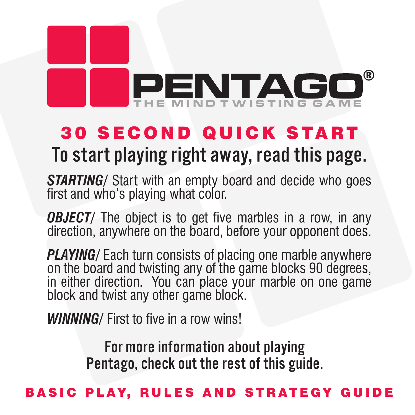# ®PENTAGO

# **30 SECOND QUICK START**

# To start playing right away, read this page.

*STARTING/* Start with an empty board and decide who goes first and who's playing what color.

*OBJECT/* The object is to get five marbles in a row, in any direction, anywhere on the board, before your opponent does.

*PLAYING/* Each turn consists of placing one marble anywhere on the board and twisting any of the game blocks 90 degrees, in either direction. You can place your marble on one game block and twist any other game block.

*WINNING/* First to five in a row wins!

For more information about playing Pentago, check out the rest of this guide.

### BASIC PLAY. RULES AND STRATEGY G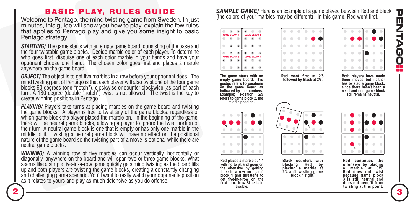# Π П Ó 0

### BASIC PLAY, RULES GUIDE

Welcome to Pentago, the mind twisting game from Sweden. In just minutes, this guide will show you how to play, explain the few rules that applies to Pentago play and give you some insight to basic Pentago strategy.

*STARTING/* The game starts with an empty game board, consisting of the base and the four twistable game blocks. Decide marble color of each player. To determine who goes first, disquise one of each color marble in your hands and have your opponent choose one hand. The chosen color goes first and places a marble anywhere on the game board.

**OBJECT/** The object is to get five marbles in a row before your opponent does. The mind twisting part of Pentago is that each player will also twist one of the four game blocks 90 degrees (one "notch"), clockwise or counter clockwise, as part of each turn. A 180 degree (double "notch") twist is not allowed. The twist is the key to create winning positions in Pentago.

*PLAYING*/ Players take turns at placing marbles on the game board and twisting the game blocks. A player is free to twist any of the game blocks, regardless of which game block the player placed the marble on. In the beginning of the game, there will be neutral game blocks, allowing a player to ignore the twist portion of their turn. A neutral game block is one that is empty or has only one marble in the middle of it. Twisting a neutral game block will have no effect on the positional nature of the game board so the twisting part of a move is optional while there are neutral game blocks.

**WINNING**/ A winning row of five marbles can occur vertically, horizontally or diagonally, anywhere on the board and will span two or three game blocks. What seems like a simple five-in-a-row game quickly gets mind twisting as the board fills up and both players are twisting the game blocks, creating a constantly changing and challenging game scenario. You'll want to really watch your opponents position as it relates to yours and play as much defensive as you do offense.

*SAMPLE GAME/* Here is an example of a game played between Red and Black (the colors of your marbles may be different). In this game, Red went first.

**Red went first at 2/5,** 



**The game starts with an empty game board. This guides refers to positions on the game board as indicated by the numbers. Example; Position 2/5 refers to game block 2, the middle position.**



**Red places a marble at 1/4 with no twist and goes on the offensive by getting three in a row on game block 1 and threatens to get five-in-a-row on the next turn. Now Black is in trouble.**



**Black counters with blocking placing a marble at 2/4 and twisting game block 1 right.**



**followed by Black at 2/6. Both players have made three moves but neither has twisted a game block, since there hasn't been a need and one game block still remains neutral.**



**Red continues the offensive by placing a marble at 3/5. Red does not twist because game block 3 is still neutral and does not benefit from twisting at this point.**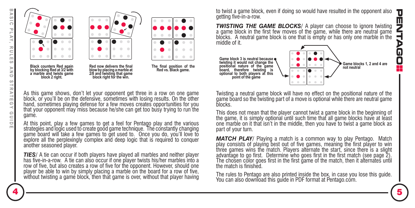

to twist a game block, even if doing so would have resulted in the opponent also π getting five-in-a-row. п

*TWISTING THE GAME BLOCKS/ A player can choose to ignore twisting* a game block in the first few moves of the game, while there are neutral game blocks. A neutral game block is one that is empty or has only one marble in the middle of it.



As this game shows, don't let your opponent get three in a row on one game block, or you'll be on the defensive, sometimes with losing results. On the other hand, sometimes playing defense for a few moves creates opportunities for you that your opponent may miss because he/she can get too busy trying to run the game.

**block right for the win.**

At this point, play a few games to get a feel for Pentago play and the various strategies and logic used to create good game technique. The constantly changing game board will take a few games to get used to. Once you do, you'll love to explore all the perplexingly complex and deep logic that is required to conquer another seasoned player.

*TIES/* A tie can occur if both players have played all marbles and neither player has five-in-a-row. A tie can also occur if one player twists his/her marbles into a row of five, but also creates a row of five for the opponent. However, should one player be able to win by simply placing a marble on the board for a row of five, without twisting a game block, then that game is over, without that player having

Twisting a neutral game block will have no effect on the positional nature of the game board so the twisting part of a move is optional while there are neutral game blocks.

This does not mean that the player cannot twist a game block in the beginning of the game, it is simply optional until such time that all game blocks have at least one marble on it that isn't in the middle, then you have to twist a game block as part of your turn.

**MATCH PLAY**/ Playing a match is a common way to play Pentago. Match play consists of playing best out of five games, meaning the first player to win three games wins the match. Players alternate the start, since there is a slight advantage to go first. Determine who goes first in the first match (see page 2). The chosen color goes first in the first game of the match, then it alternates until the match is finished.

The rules to Pentago are also printed inside the box, in case you lose this guide. You can also download this guide in PDF format at Pentago.com.

J

 $\overline{\phantom{0}}$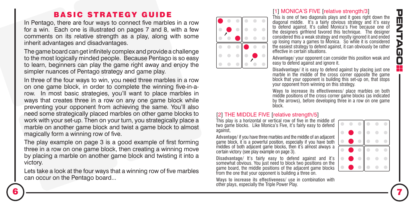# П  $\blacksquare$ Π

## BASIC STRATEGY GUIDE

In Pentago, there are four ways to connect five marbles in a row for a win. Each one is illustrated on pages 7 and 8, with a few comments on its relative strength as a play, along with some inherit advantages and disadvantages.

The game board can get infinitely complex and provide a challenge to the most logically minded people. Because Pentago is so easy to learn, beginners can play the game right away and enjoy the simpler nuances of Pentago strategy and game play.

In three of the four ways to win, you need three marbles in a row on one game block, in order to complete the winning five-in-arow. In most basic strategies, you'll want to place marbles in ways that creates three in a row on any one game block while preventing your opponent from achieving the same. You'll also need some strategically placed marbles on other game blocks to work with your set-up. Then on your turn, you strategically place a marble on another game block and twist a game block to almost magically form a winning row of five.

The play example on page 3 is a good example of first forming three in a row on one game block, then creating a winning move by placing a marble on another game block and twisting it into a victory.

Lets take a look at the four ways that a winning row of five marbles can occur on the Pentago board...



#### [1] MONICA'S FIVE [relative strength/3]

This is one of two diagonals plays and it goes right down the diagonal middle. It's a fairly obvious strategy and it's easy to defend against. It's called Monica's Five because one of the designers girlfriend favored this technique. The designer considered this a weak strategy and mostly ignored it and ended up losing many a games to Monica. So while it is considered the easiest strategy to defend against, it can obviously be rather effective in certain situations.

**Advantage/** your opponent can consider this position weak and easy to defend against and ignore it.

**Disadvantage/** it is easy to defend against by placing just one marble in the middle of the cross corner opposite the game block that your opponent is building this set-up on, that stops your opponent from winning on this strategy.

**Ways to increase its effectiveness/** place marbles on both middle positions of the cross corner game blocks (as indicated by the arrows), before developing three in a row on one game hlock

#### [2] THE MIDDLE FIVE [relative strength/5]

This play is a horizontal or vertical row of five in the middle of two game blocks. Like Monica's Five, it's fairly easy to defend against,

**Advantage/** if you have three marbles and the middle of an adjacent game block, it is a powerful position, especially if you have both middles of both adjacent game blocks, then it's almost always a certain victory (see play example on page 3).

**Disadvantage/** It's fairly easy to defend against and it's somewhat obvious. You just need to block two positions on the game board, the middle positions of the adjacent game blocks from the one that your opponent is building a three on.

**Ways to increase its effectiveness/** use in combination with other plays, especially the Triple Power Play.

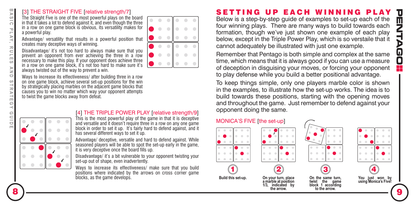#### [3] THE STRAIGHT FIVE [relative strength/7]

The Straight Five is one of the most powerful plays on the board in that it takes a lot to defend against it, and even though the three in a row on one game block is obvious, its versatility makes for a powerful play.

**Advantage/** versatility that results in a powerful position that creates many deceptive ways of winning.

**Disadvantage/** it's not too hard to always make sure that you prevent an opponent from ever achieving the three in a row necessary to make this play. If your opponent does achieve three in a row on one game block, it's not too hard to make sure it's always twisted out of the way to prevent a win.

**Ways to increase its effectiveness/** after building three in a row on one game block, achieve several set-up positions for the win by strategically placing marbles on the adjacent game blocks that causes you to win no matter which way your opponent attempts to twist the game blocks away from defeat.



#### [4] THE TRIPLE POWER PLAY Irelative strength/9]

This is the most powerful play of the game in that it is deceptive and versatile and it doesn't require three in a row on any one game block in order to set it up. It's fairly hard to defend against, and it has several different ways to set it up.

**Advantage/** deceptive, versatile and hard to defend against. While seasoned players will be able to spot the set-up early in the game. it is very deceptive once the board fills up.

**Disadvantage/** it's a bit vulnerable to your opponent twisting your set-up out of shape, even inadvertently.

**Ways to increase its effectiveness/** make sure that you build positions where indicated by the arrows on cross corner game blocks, as the game develops.

## SETTING UP EACH WINNING PI

Below is a step-by-step guide of examples to set-up each of the four winning plays. There are many ways to build towards each formation, though we've just shown one example of each play below, except in the Triple Power Play, which is so verstaile that it cannot adequately be illustrated with just one example.

Remember that Pentago is both simple and complex at the same time, which means that it is always good if you can use a measure of deception in disguising your moves, or forcing your opponent to play defense while you build a better positional advantage.

To keep things simple, only one players marble color is shown in the examples, to illustrate how the set-up works. The idea is to build towards these positions, starting with the opening moves and throughout the game. Just remember to defend against your opponent doing the same.

#### MONICA'S FIVE [the set-up]



≂  $\omega$  $\overline{a}$ 

 $\overline{ }$  $\overline{\sim}$ 

Îп.

 $\mathbb{R}$  $\leq$  $\omega$ ₹,  $\Box$  $\Omega$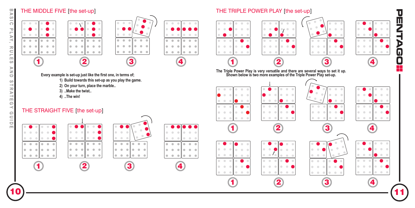